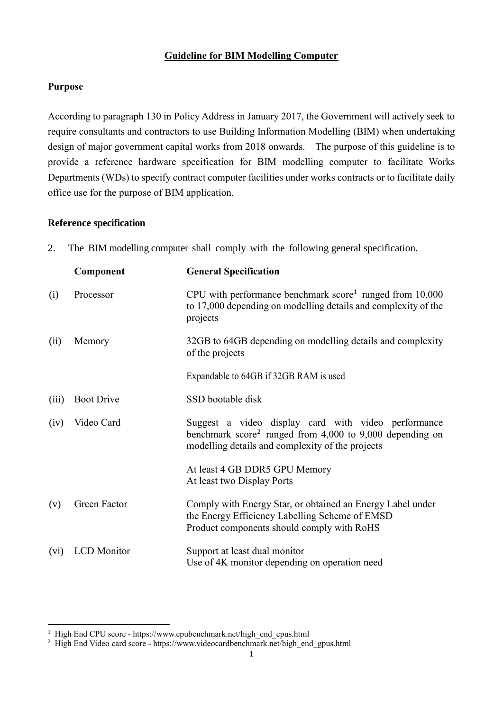### **Guideline for BIM Modelling Computer**

#### **Purpose**

-

According to paragraph 130 in Policy Address in January 2017, the Government will actively seek to require consultants and contractors to use Building Information Modelling (BIM) when undertaking design of major government capital works from 2018 onwards. The purpose of this guideline is to provide a reference hardware specification for BIM modelling computer to facilitate Works Departments (WDs) to specify contract computer facilities under works contracts or to facilitate daily office use for the purpose of BIM application.

#### **Reference specification**

2. The BIM modelling computer shall comply with the following general specification.

|       | Component          | <b>General Specification</b>                                                                                                                                                    |
|-------|--------------------|---------------------------------------------------------------------------------------------------------------------------------------------------------------------------------|
| (i)   | Processor          | CPU with performance benchmark score <sup>1</sup> ranged from $10,000$<br>to 17,000 depending on modelling details and complexity of the<br>projects                            |
| (ii)  | Memory             | 32GB to 64GB depending on modelling details and complexity<br>of the projects                                                                                                   |
|       |                    | Expandable to 64GB if 32GB RAM is used                                                                                                                                          |
| (iii) | <b>Boot Drive</b>  | SSD bootable disk                                                                                                                                                               |
| (iv)  | Video Card         | Suggest a video display card with video performance<br>benchmark score <sup>2</sup> ranged from 4,000 to 9,000 depending on<br>modelling details and complexity of the projects |
|       |                    | At least 4 GB DDR5 GPU Memory<br>At least two Display Ports                                                                                                                     |
| (v)   | Green Factor       | Comply with Energy Star, or obtained an Energy Label under<br>the Energy Efficiency Labelling Scheme of EMSD<br>Product components should comply with RoHS                      |
| (vi)  | <b>LCD</b> Monitor | Support at least dual monitor<br>Use of 4K monitor depending on operation need                                                                                                  |

<sup>&</sup>lt;sup>1</sup> High End CPU score - https://www.cpubenchmark.net/high\_end\_cpus.html

<sup>&</sup>lt;sup>2</sup> High End Video card score - https://www.videocardbenchmark.net/high end gpus.html